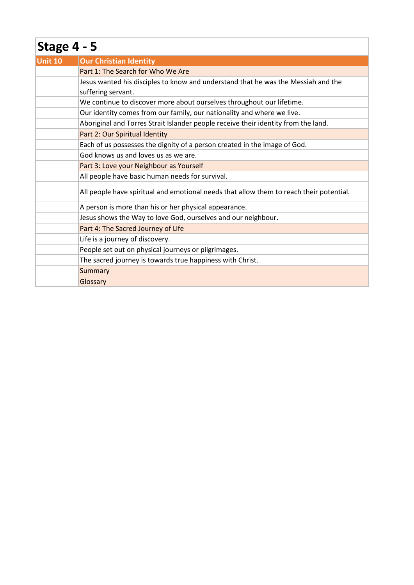| Stage $4 - 5$  |                                                                                                         |
|----------------|---------------------------------------------------------------------------------------------------------|
| <b>Unit 10</b> | <b>Our Christian Identity</b>                                                                           |
|                | Part 1: The Search for Who We Are                                                                       |
|                | Jesus wanted his disciples to know and understand that he was the Messiah and the<br>suffering servant. |
|                | We continue to discover more about ourselves throughout our lifetime.                                   |
|                | Our identity comes from our family, our nationality and where we live.                                  |
|                | Aboriginal and Torres Strait Islander people receive their identity from the land.                      |
|                | Part 2: Our Spiritual Identity                                                                          |
|                | Each of us possesses the dignity of a person created in the image of God.                               |
|                | God knows us and loves us as we are.                                                                    |
|                | Part 3: Love your Neighbour as Yourself                                                                 |
|                | All people have basic human needs for survival.                                                         |
|                | All people have spiritual and emotional needs that allow them to reach their potential.                 |
|                | A person is more than his or her physical appearance.                                                   |
|                | Jesus shows the Way to love God, ourselves and our neighbour.                                           |
|                | Part 4: The Sacred Journey of Life                                                                      |
|                | Life is a journey of discovery.                                                                         |
|                | People set out on physical journeys or pilgrimages.                                                     |
|                | The sacred journey is towards true happiness with Christ.                                               |
|                | Summary                                                                                                 |
|                | Glossary                                                                                                |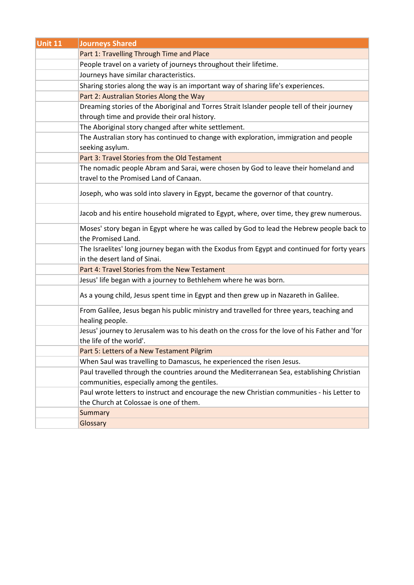| Unit 11 | <b>Journeys Shared</b>                                                                                                      |
|---------|-----------------------------------------------------------------------------------------------------------------------------|
|         | Part 1: Travelling Through Time and Place                                                                                   |
|         | People travel on a variety of journeys throughout their lifetime.                                                           |
|         | Journeys have similar characteristics.                                                                                      |
|         | Sharing stories along the way is an important way of sharing life's experiences.                                            |
|         | Part 2: Australian Stories Along the Way                                                                                    |
|         | Dreaming stories of the Aboriginal and Torres Strait Islander people tell of their journey                                  |
|         | through time and provide their oral history.                                                                                |
|         | The Aboriginal story changed after white settlement.                                                                        |
|         | The Australian story has continued to change with exploration, immigration and people<br>seeking asylum.                    |
|         | Part 3: Travel Stories from the Old Testament                                                                               |
|         | The nomadic people Abram and Sarai, were chosen by God to leave their homeland and                                          |
|         | travel to the Promised Land of Canaan.                                                                                      |
|         | Joseph, who was sold into slavery in Egypt, became the governor of that country.                                            |
|         | Jacob and his entire household migrated to Egypt, where, over time, they grew numerous.                                     |
|         | Moses' story began in Egypt where he was called by God to lead the Hebrew people back to<br>the Promised Land.              |
|         | The Israelites' long journey began with the Exodus from Egypt and continued for forty years<br>in the desert land of Sinai. |
|         | Part 4: Travel Stories from the New Testament                                                                               |
|         | Jesus' life began with a journey to Bethlehem where he was born.                                                            |
|         | As a young child, Jesus spent time in Egypt and then grew up in Nazareth in Galilee.                                        |
|         | From Galilee, Jesus began his public ministry and travelled for three years, teaching and<br>healing people.                |
|         | Jesus' journey to Jerusalem was to his death on the cross for the love of his Father and 'for<br>the life of the world'.    |
|         | Part 5: Letters of a New Testament Pilgrim                                                                                  |
|         | When Saul was travelling to Damascus, he experienced the risen Jesus.                                                       |
|         | Paul travelled through the countries around the Mediterranean Sea, establishing Christian                                   |
|         | communities, especially among the gentiles.                                                                                 |
|         | Paul wrote letters to instruct and encourage the new Christian communities - his Letter to                                  |
|         | the Church at Colossae is one of them.                                                                                      |
|         | <b>Summary</b>                                                                                                              |
|         | Glossary                                                                                                                    |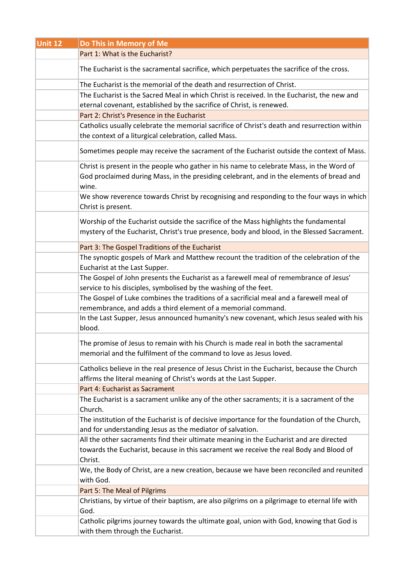| Unit 12 | Do This in Memory of Me                                                                                                                                                                       |
|---------|-----------------------------------------------------------------------------------------------------------------------------------------------------------------------------------------------|
|         | Part 1: What is the Eucharist?                                                                                                                                                                |
|         | The Eucharist is the sacramental sacrifice, which perpetuates the sacrifice of the cross.                                                                                                     |
|         | The Eucharist is the memorial of the death and resurrection of Christ.                                                                                                                        |
|         | The Eucharist is the Sacred Meal in which Christ is received. In the Eucharist, the new and                                                                                                   |
|         | eternal covenant, established by the sacrifice of Christ, is renewed.                                                                                                                         |
|         | Part 2: Christ's Presence in the Eucharist                                                                                                                                                    |
|         | Catholics usually celebrate the memorial sacrifice of Christ's death and resurrection within<br>the context of a liturgical celebration, called Mass.                                         |
|         | Sometimes people may receive the sacrament of the Eucharist outside the context of Mass.                                                                                                      |
|         | Christ is present in the people who gather in his name to celebrate Mass, in the Word of<br>God proclaimed during Mass, in the presiding celebrant, and in the elements of bread and<br>wine. |
|         | We show reverence towards Christ by recognising and responding to the four ways in which<br>Christ is present.                                                                                |
|         | Worship of the Eucharist outside the sacrifice of the Mass highlights the fundamental<br>mystery of the Eucharist, Christ's true presence, body and blood, in the Blessed Sacrament.          |
|         | Part 3: The Gospel Traditions of the Eucharist                                                                                                                                                |
|         | The synoptic gospels of Mark and Matthew recount the tradition of the celebration of the<br>Eucharist at the Last Supper.                                                                     |
|         | The Gospel of John presents the Eucharist as a farewell meal of remembrance of Jesus'<br>service to his disciples, symbolised by the washing of the feet.                                     |
|         | The Gospel of Luke combines the traditions of a sacrificial meal and a farewell meal of<br>remembrance, and adds a third element of a memorial command.                                       |
|         | In the Last Supper, Jesus announced humanity's new covenant, which Jesus sealed with his<br>blood.                                                                                            |
|         | The promise of Jesus to remain with his Church is made real in both the sacramental<br>memorial and the fulfilment of the command to love as Jesus loved.                                     |
|         | Catholics believe in the real presence of Jesus Christ in the Eucharist, because the Church                                                                                                   |
|         | affirms the literal meaning of Christ's words at the Last Supper.                                                                                                                             |
|         | Part 4: Eucharist as Sacrament                                                                                                                                                                |
|         | The Eucharist is a sacrament unlike any of the other sacraments; it is a sacrament of the<br>Church.                                                                                          |
|         | The institution of the Eucharist is of decisive importance for the foundation of the Church,<br>and for understanding Jesus as the mediator of salvation.                                     |
|         | All the other sacraments find their ultimate meaning in the Eucharist and are directed                                                                                                        |
|         | towards the Eucharist, because in this sacrament we receive the real Body and Blood of<br>Christ.                                                                                             |
|         | We, the Body of Christ, are a new creation, because we have been reconciled and reunited<br>with God.                                                                                         |
|         | Part 5: The Meal of Pilgrims                                                                                                                                                                  |
|         | Christians, by virtue of their baptism, are also pilgrims on a pilgrimage to eternal life with<br>God.                                                                                        |
|         | Catholic pilgrims journey towards the ultimate goal, union with God, knowing that God is<br>with them through the Eucharist.                                                                  |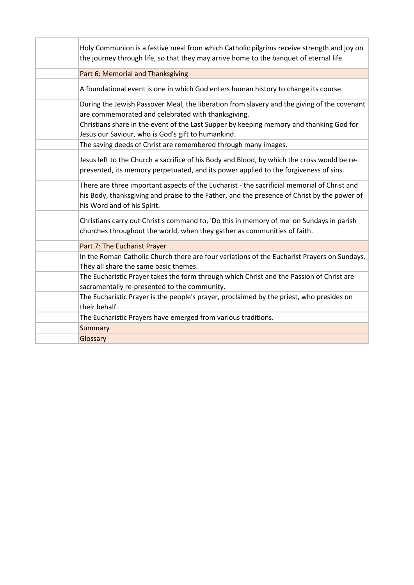| Holy Communion is a festive meal from which Catholic pilgrims receive strength and joy on<br>the journey through life, so that they may arrive home to the banquet of eternal life.                                       |
|---------------------------------------------------------------------------------------------------------------------------------------------------------------------------------------------------------------------------|
| Part 6: Memorial and Thanksgiving                                                                                                                                                                                         |
| A foundational event is one in which God enters human history to change its course.                                                                                                                                       |
| During the Jewish Passover Meal, the liberation from slavery and the giving of the covenant<br>are commemorated and celebrated with thanksgiving.                                                                         |
| Christians share in the event of the Last Supper by keeping memory and thanking God for<br>Jesus our Saviour, who is God's gift to humankind.                                                                             |
| The saving deeds of Christ are remembered through many images.                                                                                                                                                            |
| Jesus left to the Church a sacrifice of his Body and Blood, by which the cross would be re-<br>presented, its memory perpetuated, and its power applied to the forgiveness of sins.                                       |
| There are three important aspects of the Eucharist - the sacrificial memorial of Christ and<br>his Body, thanksgiving and praise to the Father, and the presence of Christ by the power of<br>his Word and of his Spirit. |
| Christians carry out Christ's command to, 'Do this in memory of me' on Sundays in parish<br>churches throughout the world, when they gather as communities of faith.                                                      |
| Part 7: The Eucharist Prayer                                                                                                                                                                                              |
| In the Roman Catholic Church there are four variations of the Eucharist Prayers on Sundays.<br>They all share the same basic themes.                                                                                      |
| The Eucharistic Prayer takes the form through which Christ and the Passion of Christ are<br>sacramentally re-presented to the community.                                                                                  |
| The Eucharistic Prayer is the people's prayer, proclaimed by the priest, who presides on<br>their behalf.                                                                                                                 |
| The Eucharistic Prayers have emerged from various traditions.                                                                                                                                                             |
| <b>Summary</b>                                                                                                                                                                                                            |
| Glossary                                                                                                                                                                                                                  |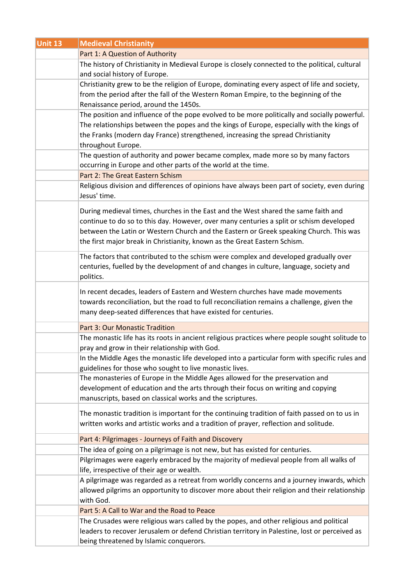| Unit 13 | <b>Medieval Christianity</b>                                                                                                                                                        |
|---------|-------------------------------------------------------------------------------------------------------------------------------------------------------------------------------------|
|         | Part 1: A Question of Authority                                                                                                                                                     |
|         | The history of Christianity in Medieval Europe is closely connected to the political, cultural                                                                                      |
|         | and social history of Europe.                                                                                                                                                       |
|         | Christianity grew to be the religion of Europe, dominating every aspect of life and society,<br>from the period after the fall of the Western Roman Empire, to the beginning of the |
|         | Renaissance period, around the 1450s.                                                                                                                                               |
|         | The position and influence of the pope evolved to be more politically and socially powerful.                                                                                        |
|         | The relationships between the popes and the kings of Europe, especially with the kings of                                                                                           |
|         | the Franks (modern day France) strengthened, increasing the spread Christianity                                                                                                     |
|         | throughout Europe.                                                                                                                                                                  |
|         | The question of authority and power became complex, made more so by many factors                                                                                                    |
|         | occurring in Europe and other parts of the world at the time.                                                                                                                       |
|         | Part 2: The Great Eastern Schism                                                                                                                                                    |
|         | Religious division and differences of opinions have always been part of society, even during<br>Jesus' time.                                                                        |
|         | During medieval times, churches in the East and the West shared the same faith and                                                                                                  |
|         | continue to do so to this day. However, over many centuries a split or schism developed                                                                                             |
|         | between the Latin or Western Church and the Eastern or Greek speaking Church. This was                                                                                              |
|         | the first major break in Christianity, known as the Great Eastern Schism.                                                                                                           |
|         |                                                                                                                                                                                     |
|         | The factors that contributed to the schism were complex and developed gradually over                                                                                                |
|         | centuries, fuelled by the development of and changes in culture, language, society and                                                                                              |
|         | politics.                                                                                                                                                                           |
|         | In recent decades, leaders of Eastern and Western churches have made movements                                                                                                      |
|         | towards reconciliation, but the road to full reconciliation remains a challenge, given the                                                                                          |
|         | many deep-seated differences that have existed for centuries.                                                                                                                       |
|         | Part 3: Our Monastic Tradition                                                                                                                                                      |
|         | The monastic life has its roots in ancient religious practices where people sought solitude to                                                                                      |
|         | pray and grow in their relationship with God.                                                                                                                                       |
|         | In the Middle Ages the monastic life developed into a particular form with specific rules and                                                                                       |
|         | guidelines for those who sought to live monastic lives.                                                                                                                             |
|         | The monasteries of Europe in the Middle Ages allowed for the preservation and                                                                                                       |
|         | development of education and the arts through their focus on writing and copying                                                                                                    |
|         | manuscripts, based on classical works and the scriptures.                                                                                                                           |
|         | The monastic tradition is important for the continuing tradition of faith passed on to us in                                                                                        |
|         | written works and artistic works and a tradition of prayer, reflection and solitude.                                                                                                |
|         | Part 4: Pilgrimages - Journeys of Faith and Discovery                                                                                                                               |
|         | The idea of going on a pilgrimage is not new, but has existed for centuries.                                                                                                        |
|         | Pilgrimages were eagerly embraced by the majority of medieval people from all walks of                                                                                              |
|         | life, irrespective of their age or wealth.                                                                                                                                          |
|         | A pilgrimage was regarded as a retreat from worldly concerns and a journey inwards, which                                                                                           |
|         | allowed pilgrims an opportunity to discover more about their religion and their relationship                                                                                        |
|         | with God.                                                                                                                                                                           |
|         | Part 5: A Call to War and the Road to Peace                                                                                                                                         |
|         | The Crusades were religious wars called by the popes, and other religious and political                                                                                             |
|         | leaders to recover Jerusalem or defend Christian territory in Palestine, lost or perceived as                                                                                       |
|         | being threatened by Islamic conquerors.                                                                                                                                             |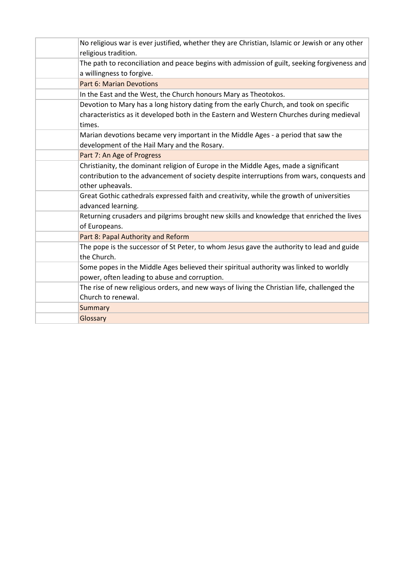| No religious war is ever justified, whether they are Christian, Islamic or Jewish or any other<br>religious tradition.                  |
|-----------------------------------------------------------------------------------------------------------------------------------------|
| The path to reconciliation and peace begins with admission of guilt, seeking forgiveness and<br>a willingness to forgive.               |
| Part 6: Marian Devotions                                                                                                                |
| In the East and the West, the Church honours Mary as Theotokos.                                                                         |
| Devotion to Mary has a long history dating from the early Church, and took on specific                                                  |
| characteristics as it developed both in the Eastern and Western Churches during medieval<br>times.                                      |
| Marian devotions became very important in the Middle Ages - a period that saw the<br>development of the Hail Mary and the Rosary.       |
| Part 7: An Age of Progress                                                                                                              |
| Christianity, the dominant religion of Europe in the Middle Ages, made a significant                                                    |
| contribution to the advancement of society despite interruptions from wars, conquests and<br>other upheavals.                           |
| Great Gothic cathedrals expressed faith and creativity, while the growth of universities<br>advanced learning.                          |
| Returning crusaders and pilgrims brought new skills and knowledge that enriched the lives<br>of Europeans.                              |
| Part 8: Papal Authority and Reform                                                                                                      |
| The pope is the successor of St Peter, to whom Jesus gave the authority to lead and guide<br>the Church.                                |
| Some popes in the Middle Ages believed their spiritual authority was linked to worldly<br>power, often leading to abuse and corruption. |
| The rise of new religious orders, and new ways of living the Christian life, challenged the                                             |
| Church to renewal.                                                                                                                      |
| Summary                                                                                                                                 |
| Glossary                                                                                                                                |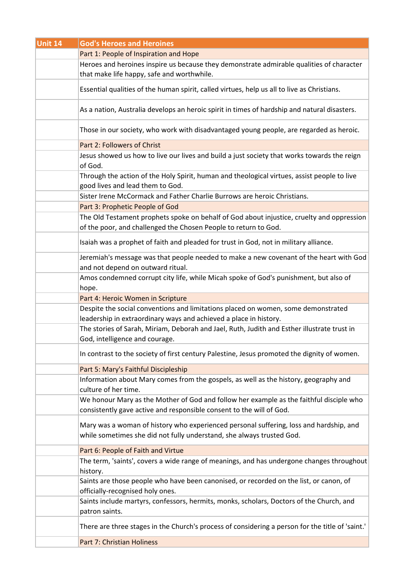| Unit 14 | <b>God's Heroes and Heroines</b>                                                                                                                                |
|---------|-----------------------------------------------------------------------------------------------------------------------------------------------------------------|
|         | Part 1: People of Inspiration and Hope                                                                                                                          |
|         | Heroes and heroines inspire us because they demonstrate admirable qualities of character                                                                        |
|         | that make life happy, safe and worthwhile.                                                                                                                      |
|         | Essential qualities of the human spirit, called virtues, help us all to live as Christians.                                                                     |
|         | As a nation, Australia develops an heroic spirit in times of hardship and natural disasters.                                                                    |
|         | Those in our society, who work with disadvantaged young people, are regarded as heroic.                                                                         |
|         | Part 2: Followers of Christ                                                                                                                                     |
|         | Jesus showed us how to live our lives and build a just society that works towards the reign<br>of God.                                                          |
|         | Through the action of the Holy Spirit, human and theological virtues, assist people to live<br>good lives and lead them to God.                                 |
|         | Sister Irene McCormack and Father Charlie Burrows are heroic Christians.                                                                                        |
|         | Part 3: Prophetic People of God                                                                                                                                 |
|         | The Old Testament prophets spoke on behalf of God about injustice, cruelty and oppression                                                                       |
|         | of the poor, and challenged the Chosen People to return to God.                                                                                                 |
|         | Isaiah was a prophet of faith and pleaded for trust in God, not in military alliance.                                                                           |
|         | Jeremiah's message was that people needed to make a new covenant of the heart with God                                                                          |
|         | and not depend on outward ritual.                                                                                                                               |
|         | Amos condemned corrupt city life, while Micah spoke of God's punishment, but also of                                                                            |
|         | hope.                                                                                                                                                           |
|         | Part 4: Heroic Women in Scripture                                                                                                                               |
|         | Despite the social conventions and limitations placed on women, some demonstrated                                                                               |
|         | leadership in extraordinary ways and achieved a place in history.                                                                                               |
|         | The stories of Sarah, Miriam, Deborah and Jael, Ruth, Judith and Esther illustrate trust in                                                                     |
|         | God, intelligence and courage.                                                                                                                                  |
|         | In contrast to the society of first century Palestine, Jesus promoted the dignity of women.                                                                     |
|         | Part 5: Mary's Faithful Discipleship                                                                                                                            |
|         | Information about Mary comes from the gospels, as well as the history, geography and<br>culture of her time.                                                    |
|         | We honour Mary as the Mother of God and follow her example as the faithful disciple who<br>consistently gave active and responsible consent to the will of God. |
|         | Mary was a woman of history who experienced personal suffering, loss and hardship, and<br>while sometimes she did not fully understand, she always trusted God. |
|         | Part 6: People of Faith and Virtue                                                                                                                              |
|         | The term, 'saints', covers a wide range of meanings, and has undergone changes throughout                                                                       |
|         | history.                                                                                                                                                        |
|         | Saints are those people who have been canonised, or recorded on the list, or canon, of                                                                          |
|         | officially-recognised holy ones.                                                                                                                                |
|         | Saints include martyrs, confessors, hermits, monks, scholars, Doctors of the Church, and                                                                        |
|         | patron saints.                                                                                                                                                  |
|         | There are three stages in the Church's process of considering a person for the title of 'saint.'                                                                |
|         | Part 7: Christian Holiness                                                                                                                                      |
|         |                                                                                                                                                                 |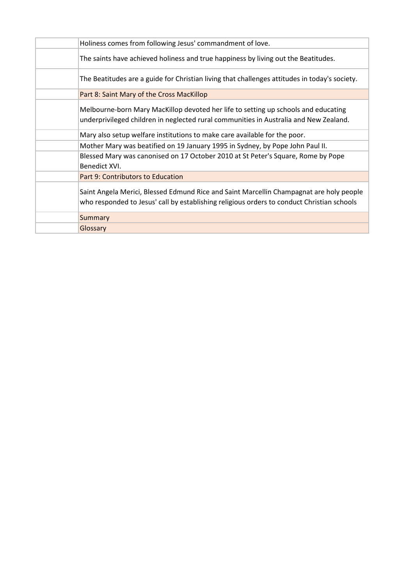| Holiness comes from following Jesus' commandment of love.                                                                                                                             |
|---------------------------------------------------------------------------------------------------------------------------------------------------------------------------------------|
| The saints have achieved holiness and true happiness by living out the Beatitudes.                                                                                                    |
| The Beatitudes are a guide for Christian living that challenges attitudes in today's society.                                                                                         |
| Part 8: Saint Mary of the Cross MacKillop                                                                                                                                             |
| Melbourne-born Mary MacKillop devoted her life to setting up schools and educating<br>underprivileged children in neglected rural communities in Australia and New Zealand.           |
| Mary also setup welfare institutions to make care available for the poor.                                                                                                             |
| Mother Mary was beatified on 19 January 1995 in Sydney, by Pope John Paul II.                                                                                                         |
| Blessed Mary was canonised on 17 October 2010 at St Peter's Square, Rome by Pope<br>Benedict XVI.                                                                                     |
| Part 9: Contributors to Education                                                                                                                                                     |
| Saint Angela Merici, Blessed Edmund Rice and Saint Marcellin Champagnat are holy people<br>who responded to Jesus' call by establishing religious orders to conduct Christian schools |
| <b>Summary</b>                                                                                                                                                                        |
| Glossary                                                                                                                                                                              |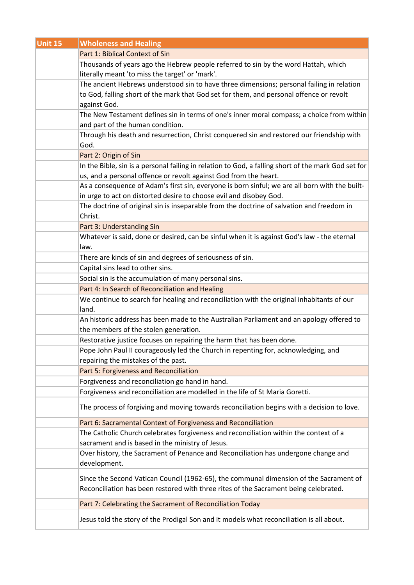| Unit 15 | <b>Wholeness and Healing</b>                                                                        |
|---------|-----------------------------------------------------------------------------------------------------|
|         | Part 1: Biblical Context of Sin                                                                     |
|         | Thousands of years ago the Hebrew people referred to sin by the word Hattah, which                  |
|         | literally meant 'to miss the target' or 'mark'.                                                     |
|         | The ancient Hebrews understood sin to have three dimensions; personal failing in relation           |
|         | to God, falling short of the mark that God set for them, and personal offence or revolt             |
|         | against God.                                                                                        |
|         | The New Testament defines sin in terms of one's inner moral compass; a choice from within           |
|         | and part of the human condition.                                                                    |
|         | Through his death and resurrection, Christ conquered sin and restored our friendship with           |
|         | God.                                                                                                |
|         | Part 2: Origin of Sin                                                                               |
|         | In the Bible, sin is a personal failing in relation to God, a falling short of the mark God set for |
|         | us, and a personal offence or revolt against God from the heart.                                    |
|         | As a consequence of Adam's first sin, everyone is born sinful; we are all born with the built-      |
|         | in urge to act on distorted desire to choose evil and disobey God.                                  |
|         | The doctrine of original sin is inseparable from the doctrine of salvation and freedom in           |
|         | Christ.                                                                                             |
|         | Part 3: Understanding Sin                                                                           |
|         | Whatever is said, done or desired, can be sinful when it is against God's law - the eternal         |
|         | law.                                                                                                |
|         | There are kinds of sin and degrees of seriousness of sin.                                           |
|         | Capital sins lead to other sins.                                                                    |
|         | Social sin is the accumulation of many personal sins.                                               |
|         | Part 4: In Search of Reconciliation and Healing                                                     |
|         | We continue to search for healing and reconciliation with the original inhabitants of our           |
|         | land.                                                                                               |
|         | An historic address has been made to the Australian Parliament and an apology offered to            |
|         | the members of the stolen generation.                                                               |
|         | Restorative justice focuses on repairing the harm that has been done.                               |
|         | Pope John Paul II courageously led the Church in repenting for, acknowledging, and                  |
|         | repairing the mistakes of the past.                                                                 |
|         | Part 5: Forgiveness and Reconciliation                                                              |
|         | Forgiveness and reconciliation go hand in hand.                                                     |
|         | Forgiveness and reconciliation are modelled in the life of St Maria Goretti.                        |
|         | The process of forgiving and moving towards reconciliation begins with a decision to love.          |
|         | Part 6: Sacramental Context of Forgiveness and Reconciliation                                       |
|         | The Catholic Church celebrates forgiveness and reconciliation within the context of a               |
|         | sacrament and is based in the ministry of Jesus.                                                    |
|         | Over history, the Sacrament of Penance and Reconciliation has undergone change and                  |
|         | development.                                                                                        |
|         | Since the Second Vatican Council (1962-65), the communal dimension of the Sacrament of              |
|         | Reconciliation has been restored with three rites of the Sacrament being celebrated.                |
|         |                                                                                                     |
|         | Part 7: Celebrating the Sacrament of Reconciliation Today                                           |
|         | Jesus told the story of the Prodigal Son and it models what reconciliation is all about.            |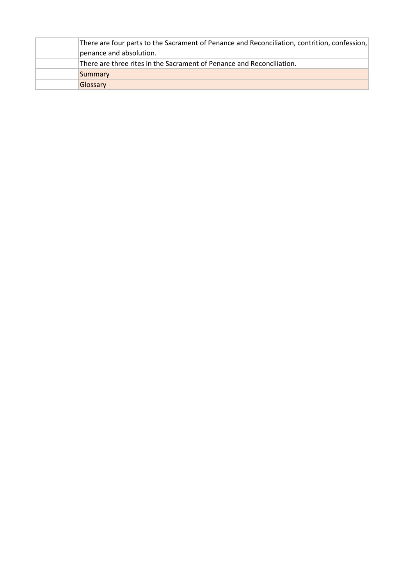| There are four parts to the Sacrament of Penance and Reconciliation, contrition, confession,<br>penance and absolution. |
|-------------------------------------------------------------------------------------------------------------------------|
| There are three rites in the Sacrament of Penance and Reconciliation.                                                   |
| Summary                                                                                                                 |
| Glossary                                                                                                                |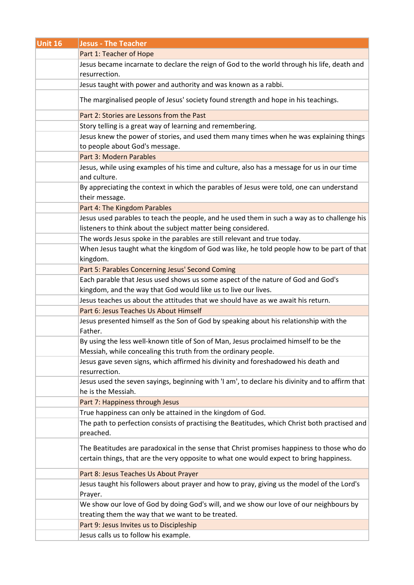| Unit 16 | <b>Jesus - The Teacher</b>                                                                                                                                                            |
|---------|---------------------------------------------------------------------------------------------------------------------------------------------------------------------------------------|
|         | Part 1: Teacher of Hope                                                                                                                                                               |
|         | Jesus became incarnate to declare the reign of God to the world through his life, death and                                                                                           |
|         | resurrection.                                                                                                                                                                         |
|         | Jesus taught with power and authority and was known as a rabbi.                                                                                                                       |
|         | The marginalised people of Jesus' society found strength and hope in his teachings.                                                                                                   |
|         | Part 2: Stories are Lessons from the Past                                                                                                                                             |
|         | Story telling is a great way of learning and remembering.                                                                                                                             |
|         | Jesus knew the power of stories, and used them many times when he was explaining things<br>to people about God's message.                                                             |
|         | Part 3: Modern Parables                                                                                                                                                               |
|         | Jesus, while using examples of his time and culture, also has a message for us in our time<br>and culture.                                                                            |
|         | By appreciating the context in which the parables of Jesus were told, one can understand<br>their message.                                                                            |
|         | Part 4: The Kingdom Parables                                                                                                                                                          |
|         | Jesus used parables to teach the people, and he used them in such a way as to challenge his<br>listeners to think about the subject matter being considered.                          |
|         | The words Jesus spoke in the parables are still relevant and true today.                                                                                                              |
|         | When Jesus taught what the kingdom of God was like, he told people how to be part of that<br>kingdom.                                                                                 |
|         | Part 5: Parables Concerning Jesus' Second Coming                                                                                                                                      |
|         | Each parable that Jesus used shows us some aspect of the nature of God and God's                                                                                                      |
|         | kingdom, and the way that God would like us to live our lives.                                                                                                                        |
|         | Jesus teaches us about the attitudes that we should have as we await his return.                                                                                                      |
|         | Part 6: Jesus Teaches Us About Himself                                                                                                                                                |
|         | Jesus presented himself as the Son of God by speaking about his relationship with the<br>Father.                                                                                      |
|         | By using the less well-known title of Son of Man, Jesus proclaimed himself to be the                                                                                                  |
|         | Messiah, while concealing this truth from the ordinary people.                                                                                                                        |
|         | Jesus gave seven signs, which affirmed his divinity and foreshadowed his death and<br>resurrection.                                                                                   |
|         | Jesus used the seven sayings, beginning with 'I am', to declare his divinity and to affirm that<br>he is the Messiah.                                                                 |
|         | Part 7: Happiness through Jesus                                                                                                                                                       |
|         | True happiness can only be attained in the kingdom of God.                                                                                                                            |
|         | The path to perfection consists of practising the Beatitudes, which Christ both practised and                                                                                         |
|         | preached.                                                                                                                                                                             |
|         | The Beatitudes are paradoxical in the sense that Christ promises happiness to those who do<br>certain things, that are the very opposite to what one would expect to bring happiness. |
|         |                                                                                                                                                                                       |
|         | Part 8: Jesus Teaches Us About Prayer                                                                                                                                                 |
|         | Jesus taught his followers about prayer and how to pray, giving us the model of the Lord's                                                                                            |
|         | Prayer.                                                                                                                                                                               |
|         | We show our love of God by doing God's will, and we show our love of our neighbours by<br>treating them the way that we want to be treated.                                           |
|         | Part 9: Jesus Invites us to Discipleship                                                                                                                                              |
|         | Jesus calls us to follow his example.                                                                                                                                                 |
|         |                                                                                                                                                                                       |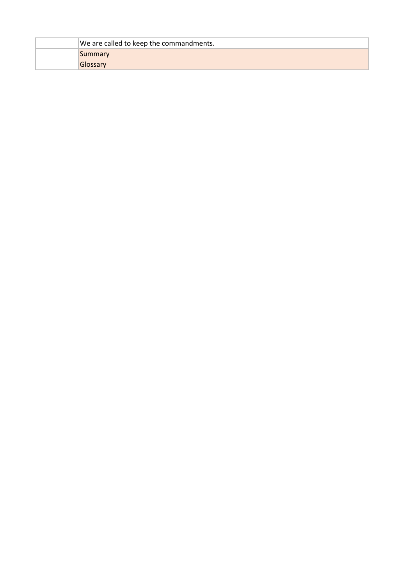| We are called to keep the commandments. |
|-----------------------------------------|
| <b>Summary</b>                          |
| Glossary                                |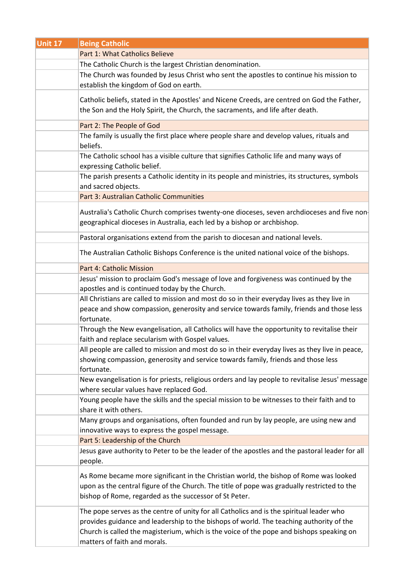| <b>Unit 17</b> | <b>Being Catholic</b>                                                                                                                                                                                                                                                                                           |
|----------------|-----------------------------------------------------------------------------------------------------------------------------------------------------------------------------------------------------------------------------------------------------------------------------------------------------------------|
|                | Part 1: What Catholics Believe                                                                                                                                                                                                                                                                                  |
|                | The Catholic Church is the largest Christian denomination.                                                                                                                                                                                                                                                      |
|                | The Church was founded by Jesus Christ who sent the apostles to continue his mission to<br>establish the kingdom of God on earth.                                                                                                                                                                               |
|                | Catholic beliefs, stated in the Apostles' and Nicene Creeds, are centred on God the Father,<br>the Son and the Holy Spirit, the Church, the sacraments, and life after death.                                                                                                                                   |
|                | Part 2: The People of God                                                                                                                                                                                                                                                                                       |
|                | The family is usually the first place where people share and develop values, rituals and<br>beliefs.                                                                                                                                                                                                            |
|                | The Catholic school has a visible culture that signifies Catholic life and many ways of<br>expressing Catholic belief.                                                                                                                                                                                          |
|                | The parish presents a Catholic identity in its people and ministries, its structures, symbols<br>and sacred objects.                                                                                                                                                                                            |
|                | Part 3: Australian Catholic Communities                                                                                                                                                                                                                                                                         |
|                | Australia's Catholic Church comprises twenty-one dioceses, seven archdioceses and five non-<br>geographical dioceses in Australia, each led by a bishop or archbishop.                                                                                                                                          |
|                | Pastoral organisations extend from the parish to diocesan and national levels.                                                                                                                                                                                                                                  |
|                | The Australian Catholic Bishops Conference is the united national voice of the bishops.                                                                                                                                                                                                                         |
|                | Part 4: Catholic Mission                                                                                                                                                                                                                                                                                        |
|                | Jesus' mission to proclaim God's message of love and forgiveness was continued by the<br>apostles and is continued today by the Church.                                                                                                                                                                         |
|                | All Christians are called to mission and most do so in their everyday lives as they live in<br>peace and show compassion, generosity and service towards family, friends and those less<br>fortunate.                                                                                                           |
|                | Through the New evangelisation, all Catholics will have the opportunity to revitalise their<br>faith and replace secularism with Gospel values.                                                                                                                                                                 |
|                | All people are called to mission and most do so in their everyday lives as they live in peace,<br>showing compassion, generosity and service towards family, friends and those less<br>fortunate.                                                                                                               |
|                | New evangelisation is for priests, religious orders and lay people to revitalise Jesus' message<br>where secular values have replaced God.                                                                                                                                                                      |
|                | Young people have the skills and the special mission to be witnesses to their faith and to<br>share it with others.                                                                                                                                                                                             |
|                | Many groups and organisations, often founded and run by lay people, are using new and<br>innovative ways to express the gospel message.                                                                                                                                                                         |
|                | Part 5: Leadership of the Church                                                                                                                                                                                                                                                                                |
|                | Jesus gave authority to Peter to be the leader of the apostles and the pastoral leader for all<br>people.                                                                                                                                                                                                       |
|                | As Rome became more significant in the Christian world, the bishop of Rome was looked<br>upon as the central figure of the Church. The title of pope was gradually restricted to the<br>bishop of Rome, regarded as the successor of St Peter.                                                                  |
|                | The pope serves as the centre of unity for all Catholics and is the spiritual leader who<br>provides guidance and leadership to the bishops of world. The teaching authority of the<br>Church is called the magisterium, which is the voice of the pope and bishops speaking on<br>matters of faith and morals. |